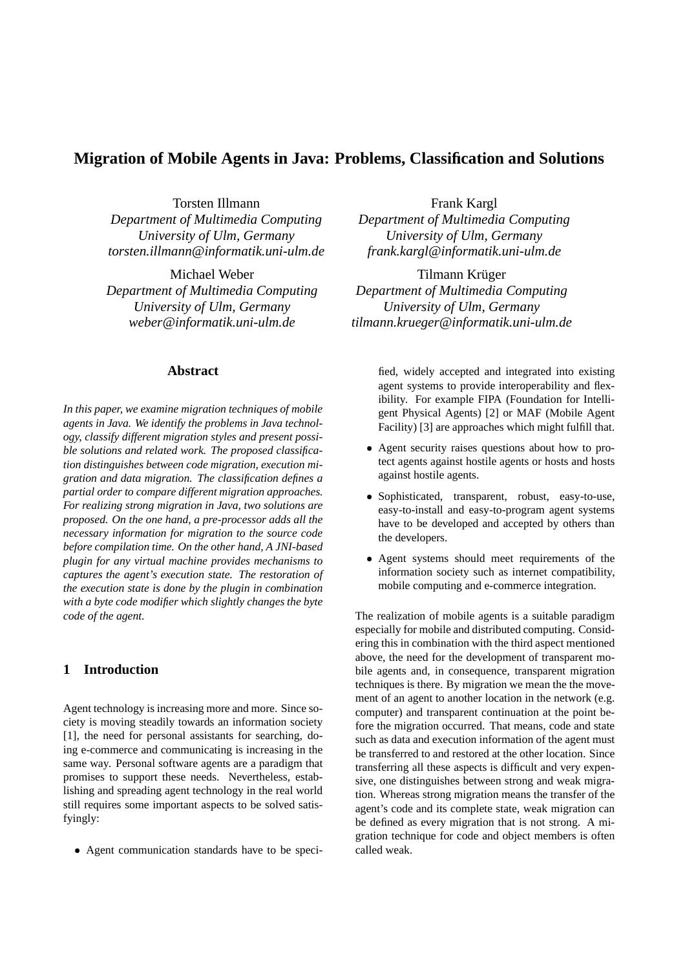# **Migration of Mobile Agents in Java: Problems, Classification and Solutions**

Torsten Illmann *Department of Multimedia Computing University of Ulm, Germany torsten.illmann@informatik.uni-ulm.de*

Michael Weber *Department of Multimedia Computing University of Ulm, Germany weber@informatik.uni-ulm.de*

### **Abstract**

*In this paper, we examine migration techniques of mobile agents in Java. We identify the problems in Java technology, classify different migration styles and present possible solutions and related work. The proposed classification distinguishes between code migration, execution migration and data migration. The classification defines a partial order to compare different migration approaches. For realizing strong migration in Java, two solutions are proposed. On the one hand, a pre-processor adds all the necessary information for migration to the source code before compilation time. On the other hand, A JNI-based plugin for any virtual machine provides mechanisms to captures the agent's execution state. The restoration of the execution state is done by the plugin in combination with a byte code modifier which slightly changes the byte code of the agent.*

## **1 Introduction**

Agent technology is increasing more and more. Since society is moving steadily towards an information society [1], the need for personal assistants for searching, doing e-commerce and communicating is increasing in the same way. Personal software agents are a paradigm that promises to support these needs. Nevertheless, establishing and spreading agent technology in the real world still requires some important aspects to be solved satisfyingly:

Agent communication standards have to be speci-

Frank Kargl *Department of Multimedia Computing University of Ulm, Germany frank.kargl@informatik.uni-ulm.de*

Tilmann Krüger *Department of Multimedia Computing University of Ulm, Germany tilmann.krueger@informatik.uni-ulm.de*

> fied, widely accepted and integrated into existing agent systems to provide interoperability and flexibility. For example FIPA (Foundation for Intelligent Physical Agents) [2] or MAF (Mobile Agent Facility) [3] are approaches which might fulfill that.

- Agent security raises questions about how to protect agents against hostile agents or hosts and hosts against hostile agents.
- Sophisticated, transparent, robust, easy-to-use, easy-to-install and easy-to-program agent systems have to be developed and accepted by others than the developers.
- Agent systems should meet requirements of the information society such as internet compatibility, mobile computing and e-commerce integration.

The realization of mobile agents is a suitable paradigm especially for mobile and distributed computing. Considering this in combination with the third aspect mentioned above, the need for the development of transparent mobile agents and, in consequence, transparent migration techniques is there. By migration we mean the the movement of an agent to another location in the network (e.g. computer) and transparent continuation at the point before the migration occurred. That means, code and state such as data and execution information of the agent must be transferred to and restored at the other location. Since transferring all these aspects is difficult and very expensive, one distinguishes between strong and weak migration. Whereas strong migration means the transfer of the agent's code and its complete state, weak migration can be defined as every migration that is not strong. A migration technique for code and object members is often called weak.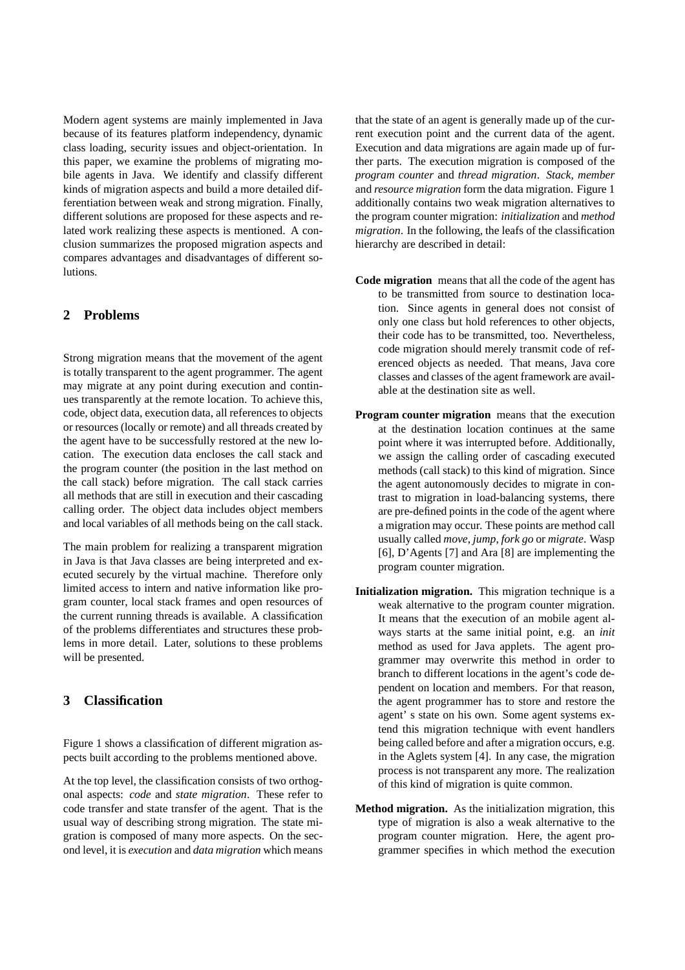Modern agent systems are mainly implemented in Java because of its features platform independency, dynamic class loading, security issues and object-orientation. In this paper, we examine the problems of migrating mobile agents in Java. We identify and classify different kinds of migration aspects and build a more detailed differentiation between weak and strong migration. Finally, different solutions are proposed for these aspects and related work realizing these aspects is mentioned. A conclusion summarizes the proposed migration aspects and compares advantages and disadvantages of different solutions.

## **2 Problems**

Strong migration means that the movement of the agent is totally transparent to the agent programmer. The agent may migrate at any point during execution and continues transparently at the remote location. To achieve this, code, object data, execution data, all references to objects or resources (locally or remote) and all threads created by the agent have to be successfully restored at the new location. The execution data encloses the call stack and the program counter (the position in the last method on the call stack) before migration. The call stack carries all methods that are still in execution and their cascading calling order. The object data includes object members and local variables of all methods being on the call stack.

The main problem for realizing a transparent migration in Java is that Java classes are being interpreted and executed securely by the virtual machine. Therefore only limited access to intern and native information like program counter, local stack frames and open resources of the current running threads is available. A classification of the problems differentiates and structures these problems in more detail. Later, solutions to these problems will be presented.

## **3 Classification**

Figure 1 shows a classification of different migration aspects built according to the problems mentioned above.

At the top level, the classification consists of two orthogonal aspects: *code* and *state migration*. These refer to code transfer and state transfer of the agent. That is the usual way of describing strong migration. The state migration is composed of many more aspects. On the second level, it is *execution* and *data migration* which means

that the state of an agent is generally made up of the current execution point and the current data of the agent. Execution and data migrations are again made up of further parts. The execution migration is composed of the *program counter* and *thread migration*. *Stack*, *member* and *resource migration* form the data migration. Figure 1 additionally contains two weak migration alternatives to the program counter migration: *initialization* and *method migration*. In the following, the leafs of the classification hierarchy are described in detail:

- **Code migration** means that all the code of the agent has to be transmitted from source to destination location. Since agents in general does not consist of only one class but hold references to other objects, their code has to be transmitted, too. Nevertheless, code migration should merely transmit code of referenced objects as needed. That means, Java core classes and classes of the agent framework are available at the destination site as well.
- **Program counter migration** means that the execution at the destination location continues at the same point where it was interrupted before. Additionally, we assign the calling order of cascading executed methods (call stack) to this kind of migration. Since the agent autonomously decides to migrate in contrast to migration in load-balancing systems, there are pre-defined points in the code of the agent where a migration may occur. These points are method call usually called *move*, *jump*, *fork go* or *migrate*. Wasp [6], D'Agents [7] and Ara [8] are implementing the program counter migration.
- **Initialization migration.** This migration technique is a weak alternative to the program counter migration. It means that the execution of an mobile agent always starts at the same initial point, e.g. an *init* method as used for Java applets. The agent programmer may overwrite this method in order to branch to different locations in the agent's code dependent on location and members. For that reason, the agent programmer has to store and restore the agent' s state on his own. Some agent systems extend this migration technique with event handlers being called before and after a migration occurs, e.g. in the Aglets system [4]. In any case, the migration process is not transparent any more. The realization of this kind of migration is quite common.
- **Method migration.** As the initialization migration, this type of migration is also a weak alternative to the program counter migration. Here, the agent programmer specifies in which method the execution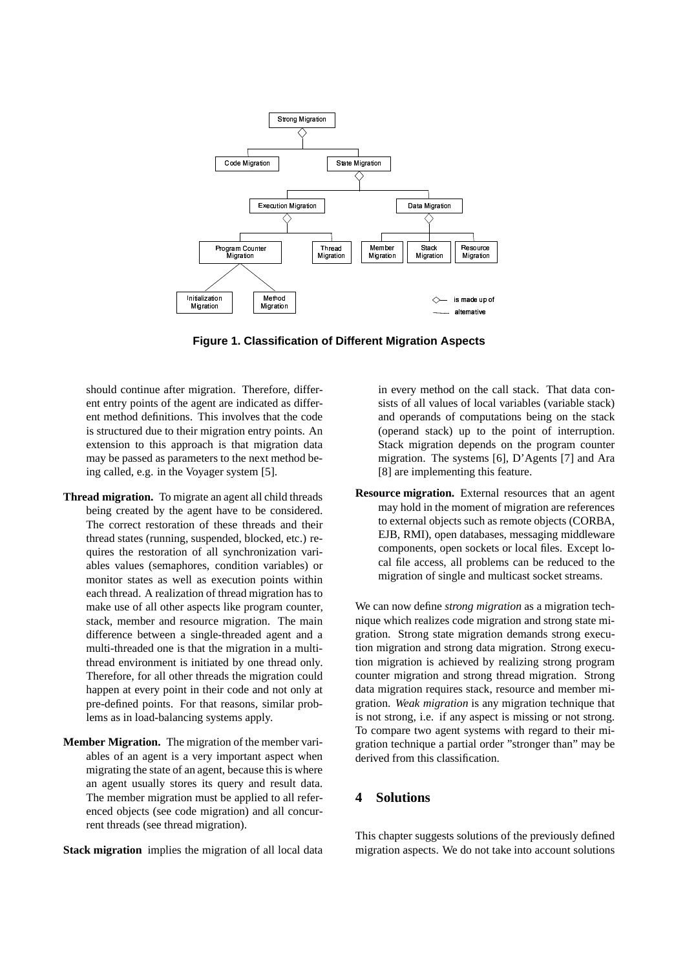

**Figure 1. Classification of Different Migration Aspects**

should continue after migration. Therefore, different entry points of the agent are indicated as different method definitions. This involves that the code is structured due to their migration entry points. An extension to this approach is that migration data may be passed as parameters to the next method being called, e.g. in the Voyager system [5].

- **Thread migration.** To migrate an agent all child threads being created by the agent have to be considered. The correct restoration of these threads and their thread states (running, suspended, blocked, etc.) requires the restoration of all synchronization variables values (semaphores, condition variables) or monitor states as well as execution points within each thread. A realization of thread migration has to make use of all other aspects like program counter, stack, member and resource migration. The main difference between a single-threaded agent and a multi-threaded one is that the migration in a multithread environment is initiated by one thread only. Therefore, for all other threads the migration could happen at every point in their code and not only at pre-defined points. For that reasons, similar problems as in load-balancing systems apply.
- **Member Migration.** The migration of the member variables of an agent is a very important aspect when migrating the state of an agent, because this is where an agent usually stores its query and result data. The member migration must be applied to all referenced objects (see code migration) and all concurrent threads (see thread migration).

**Stack migration** implies the migration of all local data

in every method on the call stack. That data consists of all values of local variables (variable stack) and operands of computations being on the stack (operand stack) up to the point of interruption. Stack migration depends on the program counter migration. The systems [6], D'Agents [7] and Ara [8] are implementing this feature.

**Resource migration.** External resources that an agent may hold in the moment of migration are references to external objects such as remote objects (CORBA, EJB, RMI), open databases, messaging middleware components, open sockets or local files. Except local file access, all problems can be reduced to the migration of single and multicast socket streams.

We can now define *strong migration* as a migration technique which realizes code migration and strong state migration. Strong state migration demands strong execution migration and strong data migration. Strong execution migration is achieved by realizing strong program counter migration and strong thread migration. Strong data migration requires stack, resource and member migration. *Weak migration* is any migration technique that is not strong, i.e. if any aspect is missing or not strong. To compare two agent systems with regard to their migration technique a partial order "stronger than" may be derived from this classification.

### **4 Solutions**

This chapter suggests solutions of the previously defined migration aspects. We do not take into account solutions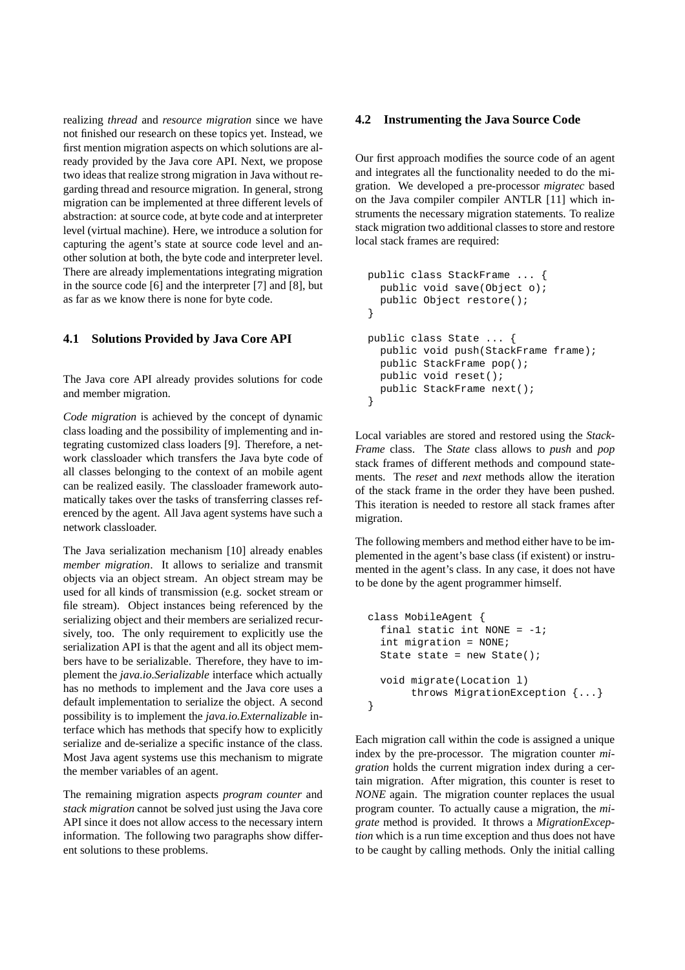realizing *thread* and *resource migration* since we have not finished our research on these topics yet. Instead, we first mention migration aspects on which solutions are already provided by the Java core API. Next, we propose two ideas that realize strong migration in Java without regarding thread and resource migration. In general, strong migration can be implemented at three different levels of abstraction: at source code, at byte code and at interpreter level (virtual machine). Here, we introduce a solution for capturing the agent's state at source code level and another solution at both, the byte code and interpreter level. There are already implementations integrating migration in the source code [6] and the interpreter [7] and [8], but as far as we know there is none for byte code.

#### **4.1 Solutions Provided by Java Core API**

The Java core API already provides solutions for code and member migration.

*Code migration* is achieved by the concept of dynamic class loading and the possibility of implementing and integrating customized class loaders [9]. Therefore, a network classloader which transfers the Java byte code of all classes belonging to the context of an mobile agent can be realized easily. The classloader framework automatically takes over the tasks of transferring classes referenced by the agent. All Java agent systems have such a network classloader.

The Java serialization mechanism [10] already enables *member migration*. It allows to serialize and transmit objects via an object stream. An object stream may be used for all kinds of transmission (e.g. socket stream or file stream). Object instances being referenced by the serializing object and their members are serialized recursively, too. The only requirement to explicitly use the serialization API is that the agent and all its object members have to be serializable. Therefore, they have to implement the *java.io.Serializable* interface which actually has no methods to implement and the Java core uses a default implementation to serialize the object. A second possibility is to implement the *java.io.Externalizable* interface which has methods that specify how to explicitly serialize and de-serialize a specific instance of the class. Most Java agent systems use this mechanism to migrate the member variables of an agent.

The remaining migration aspects *program counter* and *stack migration* cannot be solved just using the Java core API since it does not allow access to the necessary intern information. The following two paragraphs show different solutions to these problems.

### **4.2 Instrumenting the Java Source Code**

Our first approach modifies the source code of an agent and integrates all the functionality needed to do the migration. We developed a pre-processor *migratec* based on the Java compiler compiler ANTLR [11] which instruments the necessary migration statements. To realize stack migration two additional classes to store and restore local stack frames are required:

```
public class StackFrame ... {
  public void save(Object o);
  public Object restore();
}
public class State ... {
  public void push(StackFrame frame);
  public StackFrame pop();
  public void reset();
  public StackFrame next();
}
```
Local variables are stored and restored using the *Stack-Frame* class. The *State* class allows to *push* and *pop* stack frames of different methods and compound statements. The *reset* and *next* methods allow the iteration of the stack frame in the order they have been pushed. This iteration is needed to restore all stack frames after migration.

The following members and method either have to be implemented in the agent's base class (if existent) or instrumented in the agent's class. In any case, it does not have to be done by the agent programmer himself.

```
class MobileAgent {
  final static int NONE = -1;
  int migration = NONE;
  State state = new State();
  void migrate(Location l)
       throws MigrationException {...}
}
```
Each migration call within the code is assigned a unique index by the pre-processor. The migration counter *migration* holds the current migration index during a certain migration. After migration, this counter is reset to *NONE* again. The migration counter replaces the usual program counter. To actually cause a migration, the *migrate* method is provided. It throws a *MigrationException* which is a run time exception and thus does not have to be caught by calling methods. Only the initial calling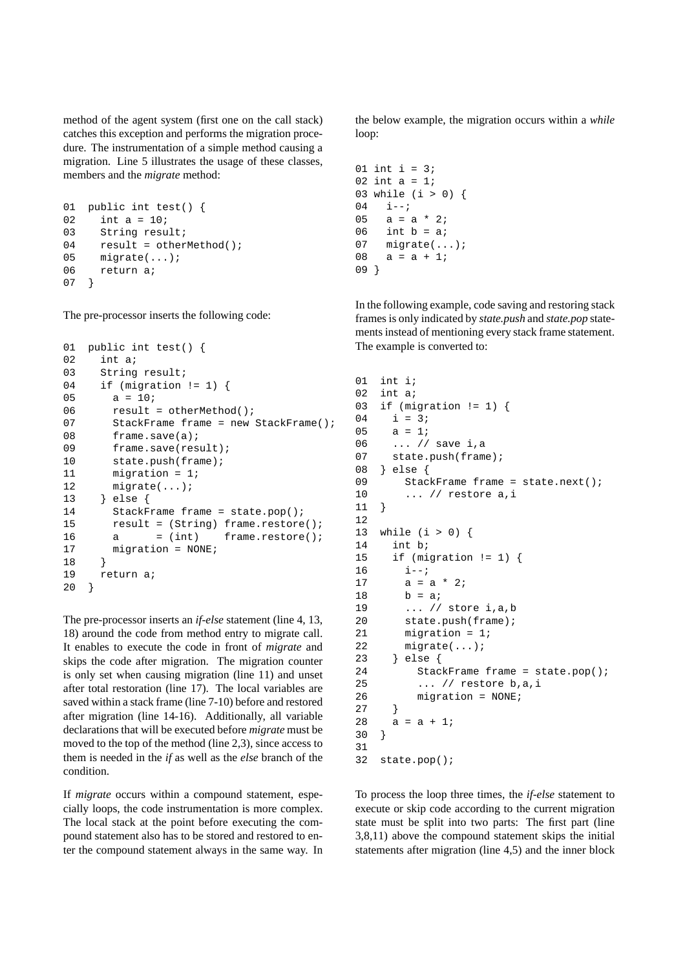method of the agent system (first one on the call stack) catches this exception and performs the migration procedure. The instrumentation of a simple method causing a migration. Line 5 illustrates the usage of these classes, members and the *migrate* method:

```
01 public int test() {
02 int a = 10;
03 String result;
04 result = otherMethod();
05 migrate(...);
06 return a;
07 }
```
The pre-processor inserts the following code:

```
01 public int test() {
02 int a;
03 String result;
04 if (migration != 1) {
05 a = 10;06 result = otherMethod();
07 StackFrame frame = new StackFrame();
08 frame.save(a);
09 frame.save(result);
10 state.push(frame);
11 migration = 1;
12 migrate(...);
13 } else {
14 StackFrame frame = state.pop();
15 result = (String) frame.restore();
16 \qquad a \qquad = (int) \qquad frame.restore()17 migration = NONE;
18 }
19 return a;
20 }
```
The pre-processor inserts an *if-else* statement (line 4, 13, 18) around the code from method entry to migrate call. It enables to execute the code in front of *migrate* and skips the code after migration. The migration counter is only set when causing migration (line 11) and unset after total restoration (line 17). The local variables are saved within a stack frame (line 7-10) before and restored after migration (line 14-16). Additionally, all variable declarations that will be executed before *migrate* must be moved to the top of the method (line 2,3), since access to them is needed in the *if* as well as the *else* branch of the condition.

If *migrate* occurs within a compound statement, especially loops, the code instrumentation is more complex. The local stack at the point before executing the compound statement also has to be stored and restored to enter the compound statement always in the same way. In

the below example, the migration occurs within a *while* loop:

```
01 int i = 3i02 int a = 1;
03 while (i > 0) {
04 i--;05 a = a * 2i06 int b = ai07 migrate(...);
08 a = a + 1;
09 }
```
In the following example, code saving and restoring stack frames is only indicated by *state.push* and *state.pop* statements instead of mentioning every stack frame statement. The example is converted to:

```
01 int i;
02 int a;
03 if (migration != 1) {
04 i = 3i05 a = 1;
06 ... // save i,a
07 state.push(frame);
08 } else {
09 StackFrame frame = state.next();
10 ... // restore a,i
11 }
12
13 while (i > 0) {
14 int b;
15 if (migration != 1) {
16 \t i--;17 \qquad a = a * 2i18 b = ai
19 ... // store i,a,b
20 state.push(frame);
21 migration = 1;
22 migrate(...);
23 } else {
24 StackFrame frame = state.pop();
25 ... // restore b,a,i
26 migration = NONE;
27 }
28 a = a + 1;
30 }
31
32 state.pop();
```
To process the loop three times, the *if-else* statement to execute or skip code according to the current migration state must be split into two parts: The first part (line 3,8,11) above the compound statement skips the initial statements after migration (line 4,5) and the inner block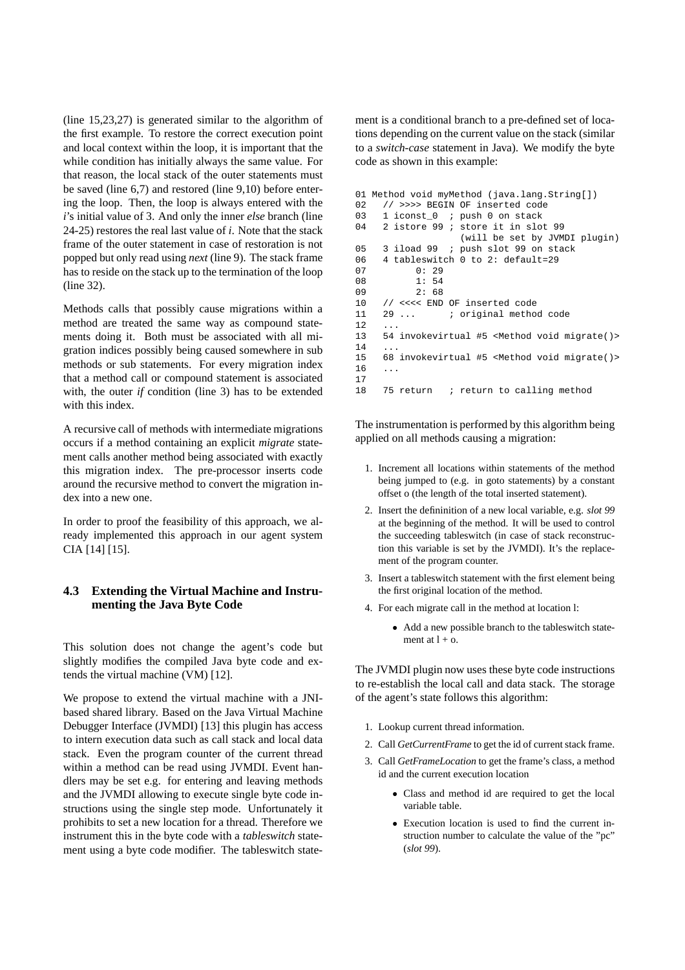(line 15,23,27) is generated similar to the algorithm of the first example. To restore the correct execution point and local context within the loop, it is important that the while condition has initially always the same value. For that reason, the local stack of the outer statements must be saved (line 6,7) and restored (line 9,10) before entering the loop. Then, the loop is always entered with the *i*'s initial value of 3. And only the inner *else* branch (line 24-25) restores the real last value of *i*. Note that the stack frame of the outer statement in case of restoration is not popped but only read using *next* (line 9). The stack frame has to reside on the stack up to the termination of the loop (line 32).

Methods calls that possibly cause migrations within a method are treated the same way as compound statements doing it. Both must be associated with all migration indices possibly being caused somewhere in sub methods or sub statements. For every migration index that a method call or compound statement is associated with, the outer *if* condition (line 3) has to be extended with this index.

A recursive call of methods with intermediate migrations occurs if a method containing an explicit *migrate* statement calls another method being associated with exactly this migration index. The pre-processor inserts code around the recursive method to convert the migration index into a new one.

In order to proof the feasibility of this approach, we already implemented this approach in our agent system CIA [14] [15].

### **4.3 Extending the Virtual Machine and Instrumenting the Java Byte Code**

This solution does not change the agent's code but slightly modifies the compiled Java byte code and extends the virtual machine (VM) [12].

We propose to extend the virtual machine with a JNIbased shared library. Based on the Java Virtual Machine Debugger Interface (JVMDI) [13] this plugin has access to intern execution data such as call stack and local data stack. Even the program counter of the current thread within a method can be read using JVMDI. Event handlers may be set e.g. for entering and leaving methods and the JVMDI allowing to execute single byte code instructions using the single step mode. Unfortunately it prohibits to set a new location for a thread. Therefore we instrument this in the byte code with a *tableswitch* statement using a byte code modifier. The tableswitch statement is a conditional branch to a pre-defined set of locations depending on the current value on the stack (similar to a *switch-case* statement in Java). We modify the byte code as shown in this example:

```
01 Method void myMethod (java.lang.String[])
02 // >>>> BEGIN OF inserted code
03 1 iconst_0 ; push 0 on stack<br>04 2 istore 99 ; store it in slot
     2 istore 99 ; store it in slot 99
                      (will be set by JVMDI plugin)
05 3 iload 99 ; push slot 99 on stack<br>06 4 tableswitch 0 to 2: default=29
      06 4 tableswitch 0 to 2: default=29
07 0: 29<br>08 1: 54
            1: 5409 2: 68
10 // <<<< END OF inserted code<br>11 29 ... <br>i original metho
11 29 ... i original method code
12
13 54 invokevirtual #5 <Method void migrate()>
14
15 68 invokevirtual #5 <Method void migrate()>
16 ...
17
18 75 return ; return to calling method
```
The instrumentation is performed by this algorithm being applied on all methods causing a migration:

- 1. Increment all locations within statements of the method being jumped to (e.g. in goto statements) by a constant offset o (the length of the total inserted statement).
- 2. Insert the defininition of a new local variable, e.g. *slot 99* at the beginning of the method. It will be used to control the succeeding tableswitch (in case of stack reconstruction this variable is set by the JVMDI). It's the replacement of the program counter.
- 3. Insert a tableswitch statement with the first element being the first original location of the method.
- 4. For each migrate call in the method at location l:
	- Add a new possible branch to the tableswitch statement at  $l + 0$ .

The JVMDI plugin now uses these byte code instructions to re-establish the local call and data stack. The storage of the agent's state follows this algorithm:

- 1. Lookup current thread information.
- 2. Call *GetCurrentFrame* to get the id of current stack frame.
- 3. Call *GetFrameLocation* to get the frame's class, a method id and the current execution location
	- <sup>2</sup> Class and method id are required to get the local variable table.
	- <sup>2</sup> Execution location is used to find the current instruction number to calculate the value of the "pc" (*slot 99*).